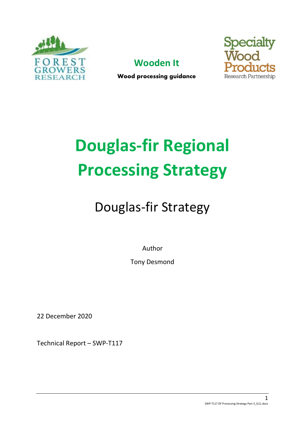





Wood processing guidance

# **Douglas-fir Regional Processing Strategy**

## Douglas-fir Strategy

Author

Tony Desmond

22 December 2020

Technical Report – SWP-T117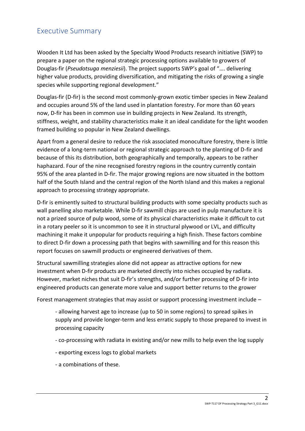## <span id="page-1-0"></span>Executive Summary

Wooden It Ltd has been asked by the Specialty Wood Products research initiative (SWP) to prepare a paper on the regional strategic processing options available to growers of Douglas-fir (*Pseudotsuga menziesii*). The project supports SWP's goal of "…. delivering higher value products, providing diversification, and mitigating the risks of growing a single species while supporting regional development."

Douglas-fir (D-fir) is the second most commonly-grown exotic timber species in New Zealand and occupies around 5% of the land used in plantation forestry. For more than 60 years now, D-fir has been in common use in building projects in New Zealand. Its strength, stiffness, weight, and stability characteristics make it an ideal candidate for the light wooden framed building so popular in New Zealand dwellings.

Apart from a general desire to reduce the risk associated monoculture forestry, there is little evidence of a long-term national or regional strategic approach to the planting of D-fir and because of this its distribution, both geographically and temporally, appears to be rather haphazard. Four of the nine recognised forestry regions in the country currently contain 95% of the area planted in D-fir. The major growing regions are now situated in the bottom half of the South Island and the central region of the North Island and this makes a regional approach to processing strategy appropriate.

D-fir is eminently suited to structural building products with some specialty products such as wall panelling also marketable. While D-fir sawmill chips are used in pulp manufacture it is not a prized source of pulp wood, some of its physical characteristics make it difficult to cut in a rotary peeler so it is uncommon to see it in structural plywood or LVL, and difficulty machining it make it unpopular for products requiring a high finish. These factors combine to direct D-fir down a processing path that begins with sawmilling and for this reason this report focuses on sawmill products or engineered derivatives of them.

Structural sawmilling strategies alone did not appear as attractive options for new investment when D-fir products are marketed directly into niches occupied by radiata. However, market niches that suit D-fir's strengths, and/or further processing of D-fir into engineered products can generate more value and support better returns to the grower

Forest management strategies that may assist or support processing investment include –

- allowing harvest age to increase (up to 50 in some regions) to spread spikes in supply and provide longer-term and less erratic supply to those prepared to invest in processing capacity

- co-processing with radiata in existing and/or new mills to help even the log supply
- exporting excess logs to global markets
- a combinations of these.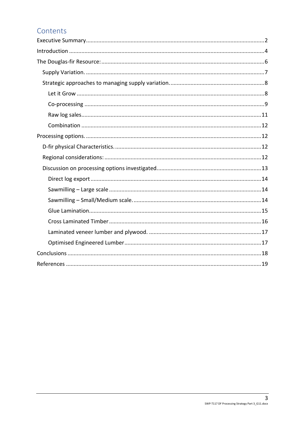## Contents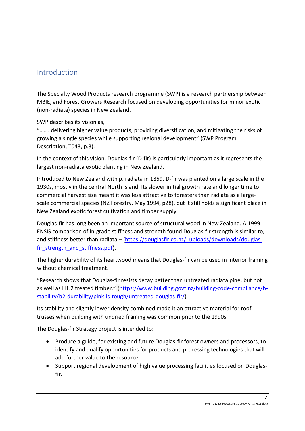## <span id="page-3-0"></span>Introduction

The Specialty Wood Products research programme (SWP) is a research partnership between MBIE, and Forest Growers Research focused on developing opportunities for minor exotic (non-radiata) species in New Zealand.

SWP describes its vision as,

"……. delivering higher value products, providing diversification, and mitigating the risks of growing a single species while supporting regional development" (SWP Program Description, T043, p.3).

In the context of this vision, Douglas-fir (D-fir) is particularly important as it represents the largest non-radiata exotic planting in New Zealand.

Introduced to New Zealand with p. radiata in 1859, D-fir was planted on a large scale in the 1930s, mostly in the central North Island. Its slower initial growth rate and longer time to commercial harvest size meant it was less attractive to foresters than radiata as a largescale commercial species (NZ Forestry, May 1994, p28), but it still holds a significant place in New Zealand exotic forest cultivation and timber supply*.*

Douglas-fir has long been an important source of structural wood in New Zealand. A 1999 ENSIS comparison of in-grade stiffness and strength found Douglas-fir strength is similar to, and stiffness better than radiata – [\(https://douglasfir.co.nz/\\_uploads/downloads/douglas](https://douglasfir.co.nz/_uploads/downloads/douglas-fir_strength_and_stiffness.pdf)fir strength and stiffness.pdf).

The higher durability of its heartwood means that Douglas-fir can be used in interior framing without chemical treatment.

"Research shows that Douglas-fir resists decay better than untreated radiata pine, but not as well as H1.2 treated timber." ([https://www.building.govt.nz/building-code-compliance/b](https://www.building.govt.nz/building-code-compliance/b-stability/b2-durability/pink-is-tough/untreated-douglas-fir/)[stability/b2-durability/pink-is-tough/untreated-douglas-fir/\)](https://www.building.govt.nz/building-code-compliance/b-stability/b2-durability/pink-is-tough/untreated-douglas-fir/)

Its stability and slightly lower density combined made it an attractive material for roof trusses when building with undried framing was common prior to the 1990s.

The Douglas-fir Strategy project is intended to:

- Produce a guide, for existing and future Douglas-fir forest owners and processors, to identify and qualify opportunities for products and processing technologies that will add further value to the resource.
- Support regional development of high value processing facilities focused on Douglasfir.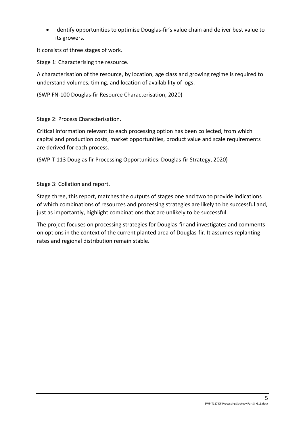• Identify opportunities to optimise Douglas-fir's value chain and deliver best value to its growers.

It consists of three stages of work.

Stage 1: Characterising the resource.

A characterisation of the resource, by location, age class and growing regime is required to understand volumes, timing, and location of availability of logs.

(SWP FN-100 Douglas-fir Resource Characterisation, 2020)

Stage 2: Process Characterisation.

Critical information relevant to each processing option has been collected, from which capital and production costs, market opportunities, product value and scale requirements are derived for each process.

(SWP-T 113 Douglas fir Processing Opportunities: Douglas-fir Strategy, 2020)

Stage 3: Collation and report.

Stage three, this report, matches the outputs of stages one and two to provide indications of which combinations of resources and processing strategies are likely to be successful and, just as importantly, highlight combinations that are unlikely to be successful.

The project focuses on processing strategies for Douglas-fir and investigates and comments on options in the context of the current planted area of Douglas-fir. It assumes replanting rates and regional distribution remain stable.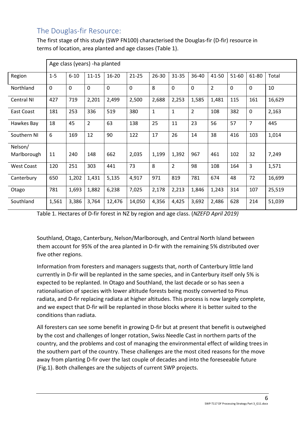## <span id="page-5-0"></span>The Douglas-fir Resource:

The first stage of this study (SWP FN100) characterised the Douglas-fir (D-fir) resource in terms of location, area planted and age classes (Table 1).

|                   | Age class (years) - ha planted |             |                |             |             |              |                |                |                |             |                |        |
|-------------------|--------------------------------|-------------|----------------|-------------|-------------|--------------|----------------|----------------|----------------|-------------|----------------|--------|
| Region            | $1 - 5$                        | $6 - 10$    | $11 - 15$      | $16 - 20$   | $21 - 25$   | 26-30        | 31-35          | 36-40          | 41-50          | 51-60       | 61-80          | Total  |
| Northland         | $\mathbf 0$                    | $\mathbf 0$ | $\mathbf 0$    | $\mathbf 0$ | $\mathbf 0$ | 8            | $\mathbf{0}$   | $\mathbf 0$    | $\overline{2}$ | $\mathbf 0$ | $\mathbf 0$    | 10     |
| Central NI        | 427                            | 719         | 2,201          | 2,499       | 2,500       | 2,688        | 2,253          | 1,585          | 1,481          | 115         | 161            | 16,629 |
| East Coast        | 181                            | 253         | 336            | 519         | 380         | $\mathbf{1}$ | $\mathbf{1}$   | $\overline{2}$ | 108            | 382         | $\mathbf 0$    | 2,163  |
| Hawkes Bay        | 18                             | 45          | $\overline{2}$ | 63          | 138         | 25           | 11             | 23             | 56             | 57          | $\overline{7}$ | 445    |
| Southern NI       | 6                              | 169         | 12             | 90          | 122         | 17           | 26             | 14             | 38             | 416         | 103            | 1,014  |
| Nelson/           |                                |             |                |             |             |              |                |                |                |             |                |        |
| Marlborough       | 11                             | 240         | 148            | 662         | 2,035       | 1,199        | 1,392          | 967            | 461            | 102         | 32             | 7,249  |
| <b>West Coast</b> | 120                            | 251         | 303            | 441         | 73          | 8            | $\overline{2}$ | 98             | 108            | 164         | $\overline{3}$ | 1,571  |
| Canterbury        | 650                            | 1,202       | 1,431          | 5,135       | 4,917       | 971          | 819            | 781            | 674            | 48          | 72             | 16,699 |
| Otago             | 781                            | 1,693       | 1,882          | 6,238       | 7,025       | 2,178        | 2,213          | 1,846          | 1,243          | 314         | 107            | 25,519 |
| Southland         | 1,561                          | 3,386       | 3,764          | 12,476      | 14,050      | 4,356        | 4,425          | 3,692          | 2,486          | 628         | 214            | 51,039 |

Table 1. Hectares of D-fir forest in NZ by region and age class. (*NZEFD April 2019)*

Southland, Otago, Canterbury, Nelson/Marlborough, and Central North Island between them account for 95% of the area planted in D-fir with the remaining 5% distributed over five other regions.

Information from foresters and managers suggests that, north of Canterbury little land currently in D-fir will be replanted in the same species, and in Canterbury itself only 5% is expected to be replanted. In Otago and Southland, the last decade or so has seen a rationalisation of species with lower altitude forests being mostly converted to Pinus radiata, and D-fir replacing radiata at higher altitudes. This process is now largely complete, and we expect that D-fir will be replanted in those blocks where it is better suited to the conditions than radiata.

All foresters can see some benefit in growing D-fir but at present that benefit is outweighed by the cost and challenges of longer rotation, Swiss Needle Cast in northern parts of the country, and the problems and cost of managing the environmental effect of wilding trees in the southern part of the country. These challenges are the most cited reasons for the move away from planting D-fir over the last couple of decades and into the foreseeable future (Fig.1). Both challenges are the subjects of current SWP projects.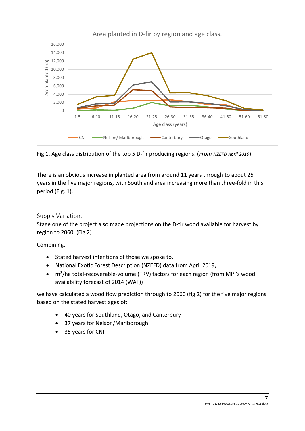

Fig 1. Age class distribution of the top 5 D-fir producing regions. (*From NZEFD April 2019*)

There is an obvious increase in planted area from around 11 years through to about 25 years in the five major regions, with Southland area increasing more than three-fold in this period (Fig. 1).

## <span id="page-6-0"></span>Supply Variation.

Stage one of the project also made projections on the D-fir wood available for harvest by region to 2060, (Fig 2)

Combining,

- Stated harvest intentions of those we spoke to,
- National Exotic Forest Description (NZEFD) data from April 2019,
- m<sup>3</sup>/ha total-recoverable-volume (TRV) factors for each region (from MPI's wood availability forecast of 2014 (WAF))

we have calculated a wood flow prediction through to 2060 (fig 2) for the five major regions based on the stated harvest ages of:

- 40 years for Southland, Otago, and Canterbury
- 37 years for Nelson/Marlborough
- 35 years for CNI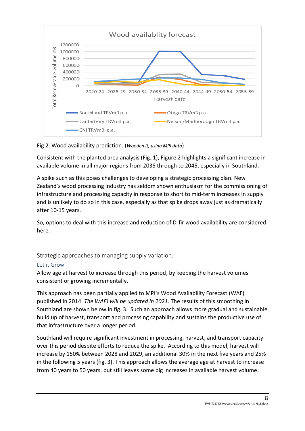

## Fig 2. Wood availability prediction. (*Wooden It, using MPI data*)

Consistent with the planted area analysis (Fig. 1), Figure 2 highlights a significant increase in available volume in all major regions from 2035 through to 2045, especially in Southland.

A spike such as this poses challenges to developing a strategic processing plan. New Zealand's wood processing industry has seldom shown enthusiasm for the commissioning of infrastructure and processing capacity in response to short to mid-term increases in supply and is unlikely to do so in this case, especially as that spike drops away just as dramatically after 10-15 years.

So, options to deal with this increase and reduction of D-fir wood availability are considered here.

<span id="page-7-0"></span>Strategic approaches to managing supply variation.

#### <span id="page-7-1"></span>Let it Grow

Allow age at harvest to increase through this period, by keeping the harvest volumes consistent or growing incrementally.

This approach has been partially applied to MPI's Wood Availability Forecast (WAF) published in 2014. *The WAF) will be updated in 2021*. The results of this smoothing in Southland are shown below in fig. 3. Such an approach allows more gradual and sustainable build up of harvest, transport and processing capability and sustains the productive use of that infrastructure over a longer period.

Southland will require significant investment in processing, harvest, and transport capacity over this period despite efforts to reduce the spike. According to this model, harvest will increase by 150% between 2028 and 2029, an additional 30% in the next five years and 25% in the following 5 years (fig. 3). This approach allows the average age at harvest to increase from 40 years to 50 years, but still leaves some big increases in available harvest volume.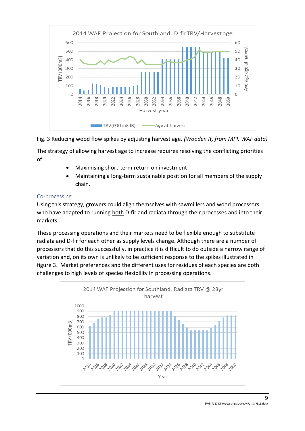

## Fig. 3 Reducing wood flow spikes by adjusting harvest age. *(Wooden It, from MPI, WAF data)*

The strategy of allowing harvest age to increase requires resolving the conflicting priorities of

- Maximising short-term return on investment
- Maintaining a long-term sustainable position for all members of the supply chain.

## <span id="page-8-0"></span>Co-processing

Using this strategy, growers could align themselves with sawmillers and wood processors who have adapted to running both D-fir and radiata through their processes and into their markets.

These processing operations and their markets need to be flexible enough to substitute radiata and D-fir for each other as supply levels change. Although there are a number of processors that do this successfully, in practice it is difficult to do outside a narrow range of variation and, on its own is unlikely to be sufficient response to the spikes illustrated in figure 3. Market preferences and the different uses for residues of each species are both challenges to high levels of species flexibility in processing operations.

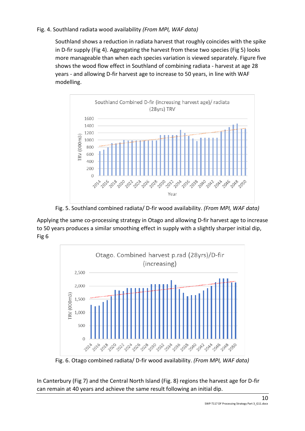## Fig. 4. Southland radiata wood availability *(From MPI, WAF data)*

Southland shows a reduction in radiata harvest that roughly coincides with the spike in D-fir supply (Fig 4). Aggregating the harvest from these two species (Fig 5) looks more manageable than when each species variation is viewed separately. Figure five shows the wood flow effect in Southland of combining radiata - harvest at age 28 years - and allowing D-fir harvest age to increase to 50 years, in line with WAF modelling.



Fig. 5. Southland combined radiata/ D-fir wood availability. *(From MPI, WAF data)*

Applying the same co-processing strategy in Otago and allowing D-fir harvest age to increase to 50 years produces a similar smoothing effect in supply with a slightly sharper initial dip, Fig 6



Fig. 6. Otago combined radiata/ D-fir wood availability. *(From MPI, WAF data)*

In Canterbury (Fig 7) and the Central North Island (Fig. 8) regions the harvest age for D-fir can remain at 40 years and achieve the same result following an initial dip.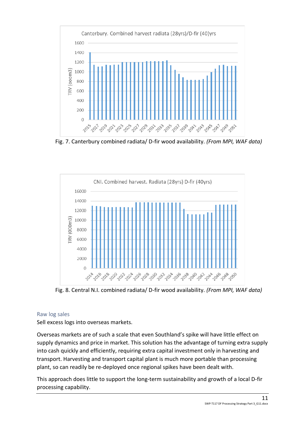

Fig. 7. Canterbury combined radiata/ D-fir wood availability. *(From MPI, WAF data)*



Fig. 8. Central N.I. combined radiata/ D-fir wood availability. *(From MPI, WAF data)*

#### <span id="page-10-0"></span>Raw log sales

Sell excess logs into overseas markets.

Overseas markets are of such a scale that even Southland's spike will have little effect on supply dynamics and price in market. This solution has the advantage of turning extra supply into cash quickly and efficiently, requiring extra capital investment only in harvesting and transport. Harvesting and transport capital plant is much more portable than processing plant, so can readily be re-deployed once regional spikes have been dealt with.

This approach does little to support the long-term sustainability and growth of a local D-fir processing capability.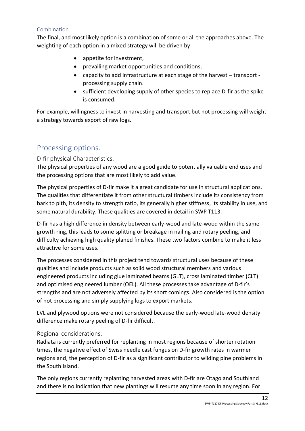#### <span id="page-11-0"></span>Combination

The final, and most likely option is a combination of some or all the approaches above. The weighting of each option in a mixed strategy will be driven by

- appetite for investment,
- prevailing market opportunities and conditions,
- capacity to add infrastructure at each stage of the harvest transport processing supply chain.
- sufficient developing supply of other species to replace D-fir as the spike is consumed.

For example, willingness to invest in harvesting and transport but not processing will weight a strategy towards export of raw logs.

## <span id="page-11-1"></span>Processing options.

## <span id="page-11-2"></span>D-fir physical Characteristics.

The physical properties of any wood are a good guide to potentially valuable end uses and the processing options that are most likely to add value.

The physical properties of D-fir make it a great candidate for use in structural applications. The qualities that differentiate it from other structural timbers include its consistency from bark to pith, its density to strength ratio, its generally higher stiffness, its stability in use, and some natural durability. These qualities are covered in detail in SWP T113.

D-fir has a high difference in density between early-wood and late-wood within the same growth ring, this leads to some splitting or breakage in nailing and rotary peeling, and difficulty achieving high quality planed finishes. These two factors combine to make it less attractive for some uses.

The processes considered in this project tend towards structural uses because of these qualities and include products such as solid wood structural members and various engineered products including glue laminated beams (GLT), cross laminated timber (CLT) and optimised engineered lumber (OEL). All these processes take advantage of D-fir's strengths and are not adversely affected by its short comings. Also considered is the option of not processing and simply supplying logs to export markets.

LVL and plywood options were not considered because the early-wood late-wood density difference make rotary peeling of D-fir difficult.

## <span id="page-11-3"></span>Regional considerations:

Radiata is currently preferred for replanting in most regions because of shorter rotation times, the negative effect of Swiss needle cast fungus on D-fir growth rates in warmer regions and, the perception of D-fir as a significant contributor to wilding pine problems in the South Island.

The only regions currently replanting harvested areas with D-fir are Otago and Southland and there is no indication that new plantings will resume any time soon in any region. For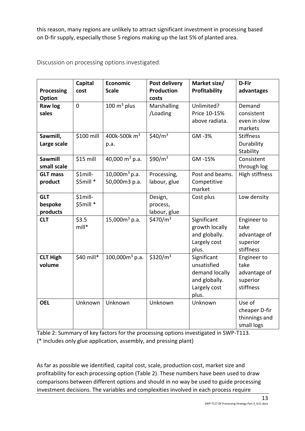this reason, many regions are unlikely to attract significant investment in processing based on D-fir supply, especially those 5 regions making up the last 5% of planted area.

<span id="page-12-0"></span>

| Discussion on processing options investigated. |  |  |
|------------------------------------------------|--|--|
|------------------------------------------------|--|--|

| <b>Processing</b>                 | Capital<br>cost         | Economic<br><b>Scale</b>          | Post delivery<br><b>Production</b>  | Market size/<br>Profitability                                                          | D-Fir<br>advantages                                          |
|-----------------------------------|-------------------------|-----------------------------------|-------------------------------------|----------------------------------------------------------------------------------------|--------------------------------------------------------------|
| Option                            |                         |                                   | costs                               |                                                                                        |                                                              |
| Raw log<br>sales                  | $\overline{0}$          | $100 \text{ m}^3$ plus            | Marshalling<br>/Loading             | Unlimited?<br>Price 10-15%<br>above radiata.                                           | Demand<br>consistent<br>even in slow<br>markets              |
| Sawmill,<br>Large scale           | \$100 mill              | 400k-500k m <sup>3</sup><br>p.a.  | \$40/ $m3$                          | GM-3%                                                                                  | <b>Stiffness</b><br>Durability<br>Stability                  |
| <b>Sawmill</b><br>small scale     | \$15 mill               | 40,000 $m^3$ p.a.                 | \$90/ $m3$                          | GM-15%                                                                                 | Consistent<br>through log                                    |
| <b>GLT mass</b><br>product        | $$1$ mill-<br>\$5mill * | $10,000m^3$ p.a.<br>50,000m3 p.a. | Processing,<br>labour, glue         | Post and beams.<br>Competitive<br>market                                               | High stiffness                                               |
| <b>GLT</b><br>bespoke<br>products | $$1$ mill-<br>\$5mill * |                                   | Design,<br>process,<br>labour, glue | Cost plus                                                                              | Low density                                                  |
| <b>CLT</b>                        | \$3.5<br>$mill*$        | 15,000 $m^3$ p.a.                 | \$470/ $m3$                         | Significant<br>growth locally<br>and globally.<br>Largely cost<br>plus.                | Engineer to<br>take<br>advantage of<br>superior<br>stiffness |
| <b>CLT High</b><br>volume         | \$40 mill*              | $100,000m^3$ p.a.                 | \$320/ $m3$                         | Significant<br>unsatisfied<br>demand locally<br>and globally.<br>Largely cost<br>plus. | Engineer to<br>take<br>advantage of<br>superior<br>stiffness |
| <b>OEL</b>                        | Unknown                 | Unknown                           | Unknown                             | Unknown                                                                                | Use of<br>cheaper D-fir<br>thinnings and<br>small logs       |

Table 2: Summary of key factors for the processing options investigated in SWP-T113. (\* includes only glue application, assembly, and pressing plant)

As far as possible we identified, capital cost, scale, production cost, market size and profitability for each processing option (Table 2). These numbers have been used to draw comparisons between different options and should in no way be used to guide processing investment decisions. The variables and complexities involved in each process require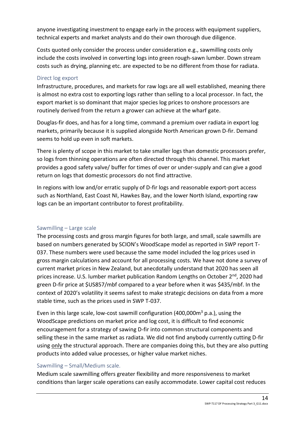anyone investigating investment to engage early in the process with equipment suppliers, technical experts and market analysts and do their own thorough due diligence.

Costs quoted only consider the process under consideration e.g., sawmilling costs only include the costs involved in converting logs into green rough-sawn lumber. Down stream costs such as drying, planning etc. are expected to be no different from those for radiata.

### <span id="page-13-0"></span>Direct log export

Infrastructure, procedures, and markets for raw logs are all well established, meaning there is almost no extra cost to exporting logs rather than selling to a local processor. In fact, the export market is so dominant that major species log prices to onshore processors are routinely derived from the return a grower can achieve at the wharf gate.

Douglas-fir does, and has for a long time, command a premium over radiata in export log markets, primarily because it is supplied alongside North American grown D-fir. Demand seems to hold up even in soft markets.

There is plenty of scope in this market to take smaller logs than domestic processors prefer, so logs from thinning operations are often directed through this channel. This market provides a good safety valve/ buffer for times of over or under-supply and can give a good return on logs that domestic processors do not find attractive.

In regions with low and/or erratic supply of D-fir logs and reasonable export-port access such as Northland, East Coast NI, Hawkes Bay, and the lower North Island, exporting raw logs can be an important contributor to forest profitability.

#### <span id="page-13-1"></span>Sawmilling – Large scale

The processing costs and gross margin figures for both large, and small, scale sawmills are based on numbers generated by SCION's WoodScape model as reported in SWP report T-037. These numbers were used because the same model included the log prices used in gross margin calculations and account for all processing costs. We have not done a survey of current market prices in New Zealand, but anecdotally understand that 2020 has seen all prices increase. U.S. lumber market publication Random Lengths on October 2<sup>nd</sup>, 2020 had green D-fir price at \$US857/mbf compared to a year before when it was \$435/mbf. In the context of 2020's volatility it seems safest to make strategic decisions on data from a more stable time, such as the prices used in SWP T-037.

Even in this large scale, low-cost sawmill configuration  $(400,000m^3 p.a.)$ , using the WoodScape predictions on market price and log cost, it is difficult to find economic encouragement for a strategy of sawing D-fir into common structural components and selling these in the same market as radiata. We did not find anybody currently cutting D-fir using only the structural approach. There are companies doing this, but they are also putting products into added value processes, or higher value market niches.

#### <span id="page-13-2"></span>Sawmilling – Small/Medium scale.

Medium scale sawmilling offers greater flexibility and more responsiveness to market conditions than larger scale operations can easily accommodate. Lower capital cost reduces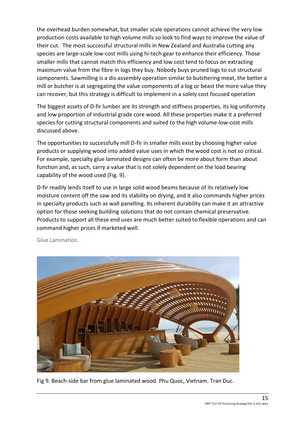the overhead burden somewhat, but smaller scale operations cannot achieve the very low production costs available to high volume mills so look to find ways to improve the value of their cut. The most successful structural mills in New Zealand and Australia cutting any species are large-scale low-cost mills using hi-tech gear to enhance their efficiency. Those smaller mills that cannot match this efficiency and low cost tend to focus on extracting maximum value from the fibre in logs they buy. Nobody buys pruned logs to cut structural components. Sawmilling is a dis-assembly operation similar to butchering meat, the better a mill or butcher is at segregating the value components of a log or beast the more value they can recover, but this strategy is difficult to implement in a solely cost focused operation

The biggest assets of D-fir lumber are its strength and stiffness properties, its log uniformity and low proportion of industrial grade core wood. All these properties make it a preferred species for cutting structural components and suited to the high volume-low-cost mills discussed above.

The opportunities to successfully mill D-fir in smaller mills exist by choosing higher value products or supplying wood into added value uses in which the wood cost is not so critical. For example, specialty glue laminated designs can often be more about form than about function and, as such, carry a value that is not solely dependent on the load bearing capability of the wood used (Fig. 9).

D-fir readily lends itself to use in large solid wood beams because of its relatively low moisture content off the saw and its stability on drying, and it also commands higher prices in specialty products such as wall panelling. Its inherent durability can make it an attractive option for those seeking building solutions that do not contain chemical preservative. Products to support all these end uses are much better suited to flexible operations and can command higher prices if marketed well.



<span id="page-14-0"></span>Glue Lamination.

Fig 9. Beach-side bar from glue laminated wood. Phu Quoc, Vietnam. Tran Duc.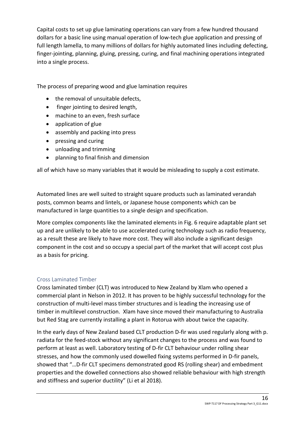Capital costs to set up glue laminating operations can vary from a few hundred thousand dollars for a basic line using manual operation of low-tech glue application and pressing of full length lamella, to many millions of dollars for highly automated lines including defecting, finger-jointing, planning, gluing, pressing, curing, and final machining operations integrated into a single process.

The process of preparing wood and glue lamination requires

- the removal of unsuitable defects,
- finger jointing to desired length,
- machine to an even, fresh surface
- application of glue
- assembly and packing into press
- pressing and curing
- unloading and trimming
- planning to final finish and dimension

all of which have so many variables that it would be misleading to supply a cost estimate.

Automated lines are well suited to straight square products such as laminated verandah posts, common beams and lintels, or Japanese house components which can be manufactured in large quantities to a single design and specification.

More complex components like the laminated elements in Fig. 6 require adaptable plant set up and are unlikely to be able to use accelerated curing technology such as radio frequency, as a result these are likely to have more cost. They will also include a significant design component in the cost and so occupy a special part of the market that will accept cost plus as a basis for pricing.

## <span id="page-15-0"></span>Cross Laminated Timber

Cross laminated timber (CLT) was introduced to New Zealand by Xlam who opened a commercial plant in Nelson in 2012. It has proven to be highly successful technology for the construction of multi-level mass timber structures and is leading the increasing use of timber in multilevel construction. Xlam have since moved their manufacturing to Australia but Red Stag are currently installing a plant in Rotorua with about twice the capacity.

In the early days of New Zealand based CLT production D-fir was used regularly along with p. radiata for the feed-stock without any significant changes to the process and was found to perform at least as well. Laboratory testing of D-fir CLT behaviour under rolling shear stresses, and how the commonly used dowelled fixing systems performed in D-fir panels, showed that "…D-fir CLT specimens demonstrated good RS (rolling shear) and embedment properties and the dowelled connections also showed reliable behaviour with high strength and stiffness and superior ductility" (Li et al 2018).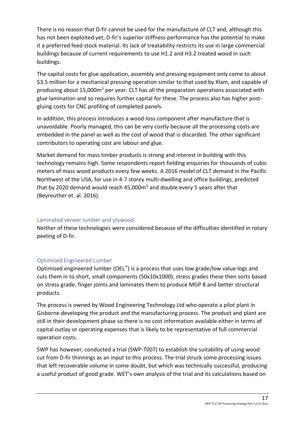There is no reason that D-fir cannot be used for the manufacture of CLT and, although this has not been exploited yet, D-fir's superior stiffness performance has the potential to make it a preferred feed stock material. Its lack of treatability restricts its use in large commercial buildings because of current requirements to use H1.2 and H3.2 treated wood in such buildings.

The capital costs for glue application, assembly and pressing equipment only come to about \$3.5 million for a mechanical pressing operation similar to that used by Xlam, and capable of producing about 15,000m<sup>3</sup> per year. CLT has all the preparation operations associated with glue lamination and so requires further capital for these. The process also has higher postgluing costs for CNC profiling of completed panels.

In addition, this process introduces a wood-loss component after manufacture that is unavoidable. Poorly managed, this can be very costly because all the processing costs are embedded in the panel as well as the cost of wood that is discarded. The other significant contributors to operating cost are labour and glue.

Market demand for mass timber products is strong and interest in building with this technology remains high. Some respondents report fielding enquiries for thousands of cubic meters of mass wood products every few weeks. A 2016 model of CLT demand in the Pacific Northwest of the USA, for use in 4-7 storey multi-dwelling and office buildings, predicted that by 2020 demand would reach 45,000 $m<sup>3</sup>$  and double every 5 years after that (Beyreuther et. al. 2016).

## <span id="page-16-0"></span>Laminated veneer lumber and plywood.

Neither of these technologies were considered because of the difficulties identified in rotary peeling of D-fir.

## <span id="page-16-1"></span>Optimised Engineered Lumber

Optimised engineered lumber (OEL™) is a process that uses low grade/low value logs and cuts them in to short, small components (50x10x1000), stress grades these then sorts based on stress grade, finger joints and laminates them to produce MGP 8 and better structural products.

The process is owned by Wood Engineering Technology Ltd who operate a pilot plant in Gisborne developing the product and the manufacturing process. The product and plant are still in their development phase so there is no cost information available either in terms of capital outlay or operating expenses that is likely to be representative of full commercial operation costs.

SWP has however, conducted a trial (SWP-T007) to establish the suitability of using wood cut from D-fir thinnings as an input to this process. The trial struck some processing issues that left recoverable volume in some doubt, but which was technically successful, producing a useful product of good grade. WET's own analysis of the trial and its calculations based on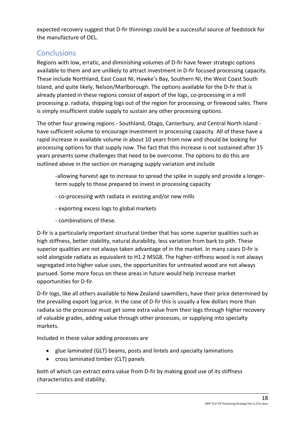expected recovery suggest that D-fir thinnings could be a successful source of feedstock for the manufacture of OEL.

## <span id="page-17-0"></span>**Conclusions**

Regions with low, erratic, and diminishing volumes of D-fir have fewer strategic options available to them and are unlikely to attract investment in D-fir focused processing capacity. These include Northland, East Coast NI, Hawke's Bay, Southern NI, the West Coast South Island, and quite likely, Nelson/Marlborough. The options available for the D-fir that is already planted in these regions consist of export of the logs, co-processing in a mill processing p. radiata, shipping logs out of the region for processing, or firewood sales. There is simply insufficient stable supply to sustain any other processing options.

The other four growing regions - Southland, Otago, Canterbury, and Central North Island have sufficient volume to encourage investment in processing capacity. All of these have a rapid increase in available volume in about 10 years from now and should be looking for processing options for that supply now. The fact that this increase is not sustained after 15 years presents some challenges that need to be overcome. The options to do this are outlined above in the section on managing supply variation and include

-allowing harvest age to increase to spread the spike in supply and provide a longerterm supply to those prepared to invest in processing capacity

- co-processing with radiata in existing and/or new mills
- exporting excess logs to global markets
- combinations of these.

D-fir is a particularly important structural timber that has some superior qualities such as high stiffness, better stability, natural durability, less variation from bark to pith. These superior qualities are not always taken advantage of in the market. In many cases D-fir is sold alongside radiata as equivalent to H1.2 MSG8. The higher-stiffness wood is not always segregated into higher value uses, the opportunities for untreated wood are not always pursued. Some more focus on these areas in future would help increase market opportunities for D-fir.

D-fir logs, like all others available to New Zealand sawmillers, have their price determined by the prevailing export log price. In the case of D-fir this is usually a few dollars more than radiata so the processor must get some extra value from their logs through higher recovery of valuable grades, adding value through other processes, or supplying into specialty markets.

Included in these value adding processes are

- glue laminated (GLT) beams, posts and lintels and specialty laminations
- cross laminated timber (CLT) panels

both of which can extract extra value from D-fir by making good use of its stiffness characteristics and stability.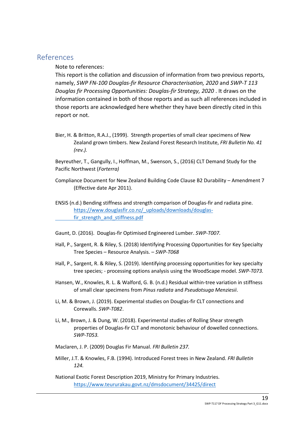## <span id="page-18-0"></span>References

#### Note to references:

This report is the collation and discussion of information from two previous reports, namely, *SWP FN-100 Douglas-fir Resource Characterisation, 2020* and *SWP-T 113 Douglas fir Processing Opportunities: Douglas-fir Strategy, 2020* . It draws on the information contained in both of those reports and as such all references included in those reports are acknowledged here whether they have been directly cited in this report or not.

Bier, H. & Britton, R.A.J., (1999). Strength properties of small clear specimens of New Zealand grown timbers. New Zealand Forest Research Institute, *FRI Bulletin No. 41 (rev.).*

Beyreuther, T., Gangully, I., Hoffman, M., Swenson, S., (2016) CLT Demand Study for the Pacific Northwest (*Forterra)*

Compliance Document for New Zealand Building Code Clause B2 Durability – Amendment 7 (Effective date Apr 2011).

ENSIS (n.d.) Bending stiffness and strength comparison of Douglas-fir and radiata pine. [https://www.douglasfir.co.nz/\\_uploads/downloads/douglas](https://www.douglasfir.co.nz/_uploads/downloads/douglas-fir_strength_and_stiffness.pdf)[fir\\_strength\\_and\\_stiffness.pdf](https://www.douglasfir.co.nz/_uploads/downloads/douglas-fir_strength_and_stiffness.pdf)

- Gaunt, D. (2016). Douglas-fir Optimised Engineered Lumber. *SWP-T007.*
- Hall, P., Sargent, R. & Riley, S. (2018) Identifying Processing Opportunities for Key Specialty Tree Species – Resource Analysis. – *SWP-T068*
- Hall, P., Sargent, R. & Riley, S. (2019). Identifying processing opportunities for key specialty tree species; - processing options analysis using the WoodScape model. *SWP-T073.*
- Hansen, W., Knowles, R. L. & Walford, G. B. (n.d.) Residual within-tree variation in stiffness of small clear specimens from *Pinus radiata* and *Pseudotsuga Menziesii*.
- Li, M. & Brown, J. (2019). Experimental studies on Douglas-fir CLT connections and Corewalls. *SWP-T082*.
- Li, M., Brown, J. & Dung, W. (2018). Experimental studies of Rolling Shear strength properties of Douglas-fir CLT and monotonic behaviour of dowelled connections. *SWP-T053.*
- Maclaren, J. P. (2009) Douglas Fir Manual. *FRI Bulletin 237.*
- Miller, J.T. & Knowles, F.B. (1994). Introduced Forest trees in New Zealand. *FRI Bulletin 124.*

National Exotic Forest Description 2019, Ministry for Primary Industries. <https://www.teururakau.govt.nz/dmsdocument/34425/direct>